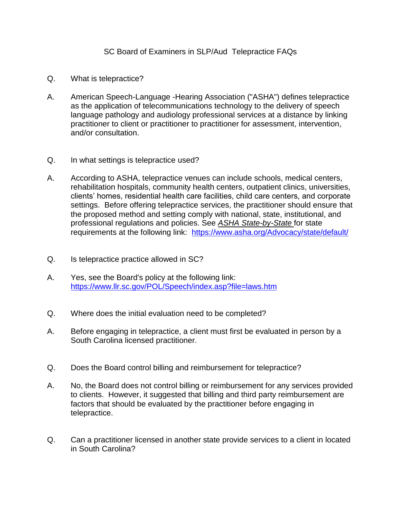## SC Board of Examiners in SLP/Aud Telepractice FAQs

- Q. What is telepractice?
- A. American Speech-Language -Hearing Association ("ASHA") defines telepractice as the application of telecommunications technology to the delivery of speech language pathology and audiology professional services at a distance by linking practitioner to client or practitioner to practitioner for assessment, intervention, and/or consultation.
- Q. In what settings is telepractice used?
- A. According to ASHA, telepractice venues can include schools, medical centers, rehabilitation hospitals, community health centers, outpatient clinics, universities, clients' homes, residential health care facilities, child care centers, and corporate settings. Before offering telepractice services, the practitioner should ensure that the proposed method and setting comply with national, state, institutional, and professional regulations and policies. See *[ASHA State-by-State](https://www.asha.org/Advocacy/state/default/)* for state requirements at the following link: <https://www.asha.org/Advocacy/state/default/>
- Q. Is telepractice practice allowed in SC?
- A. Yes, see the Board's policy at the following link: <https://www.llr.sc.gov/POL/Speech/index.asp?file=laws.htm>
- Q. Where does the initial evaluation need to be completed?
- A. Before engaging in telepractice, a client must first be evaluated in person by a South Carolina licensed practitioner.
- Q. Does the Board control billing and reimbursement for telepractice?
- A. No, the Board does not control billing or reimbursement for any services provided to clients. However, it suggested that billing and third party reimbursement are factors that should be evaluated by the practitioner before engaging in telepractice.
- Q. Can a practitioner licensed in another state provide services to a client in located in South Carolina?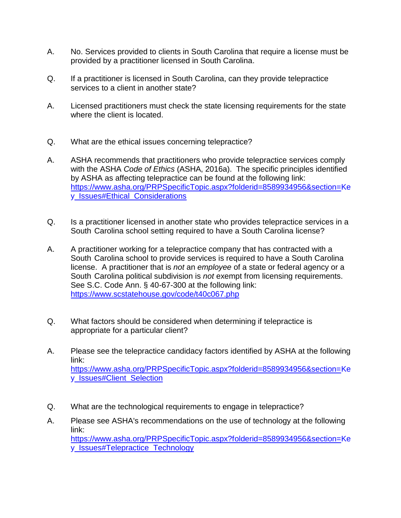- A. No. Services provided to clients in South Carolina that require a license must be provided by a practitioner licensed in South Carolina.
- Q. If a practitioner is licensed in South Carolina, can they provide telepractice services to a client in another state?
- A. Licensed practitioners must check the state licensing requirements for the state where the client is located.
- Q. What are the ethical issues concerning telepractice?
- A. ASHA recommends that practitioners who provide telepractice services comply with the ASHA *Code of Ethics* [\(ASHA, 2016a\). The](https://www.asha.org/Code-of-Ethics/) specific principles identified by ASHA as affecting telepractice can be found at the following link: [https://www.asha.org/PRPSpecificTopic.aspx?folderid=8589934956&section=Ke](https://www.asha.org/PRPSpecificTopic.aspx?folderid=8589934956§ion=Key_Issues#Ethical_Considerations) [y\\_Issues#Ethical\\_Considerations](https://www.asha.org/PRPSpecificTopic.aspx?folderid=8589934956§ion=Key_Issues#Ethical_Considerations)
- Q. Is a practitioner licensed in another state who provides telepractice services in a South Carolina school setting required to have a South Carolina license?
- A. A practitioner working for a telepractice company that has contracted with a South Carolina school to provide services is required to have a South Carolina license. A practitioner that is *not* an *employee* of a state or federal agency or a South Carolina political subdivision is *not* exempt from licensing requirements. See S.C. Code Ann. § 40-67-300 at the following link: <https://www.scstatehouse.gov/code/t40c067.php>
- Q. What factors should be considered when determining if telepractice is appropriate for a particular client?
- A. Please see the telepractice candidacy factors identified by ASHA at the following link: [https://www.asha.org/PRPSpecificTopic.aspx?folderid=8589934956&section=Ke](https://www.asha.org/PRPSpecificTopic.aspx?folderid=8589934956§ion=Key_Issues#Client_Selection) [y\\_Issues#Client\\_Selection](https://www.asha.org/PRPSpecificTopic.aspx?folderid=8589934956§ion=Key_Issues#Client_Selection)
- Q. What are the technological requirements to engage in telepractice?
- A. Please see ASHA's recommendations on the use of technology at the following link: [https://www.asha.org/PRPSpecificTopic.aspx?folderid=8589934956&section=Ke](https://www.asha.org/PRPSpecificTopic.aspx?folderid=8589934956§ion=Key_Issues#Telepractice_Technology) [y\\_Issues#Telepractice\\_Technology](https://www.asha.org/PRPSpecificTopic.aspx?folderid=8589934956§ion=Key_Issues#Telepractice_Technology)